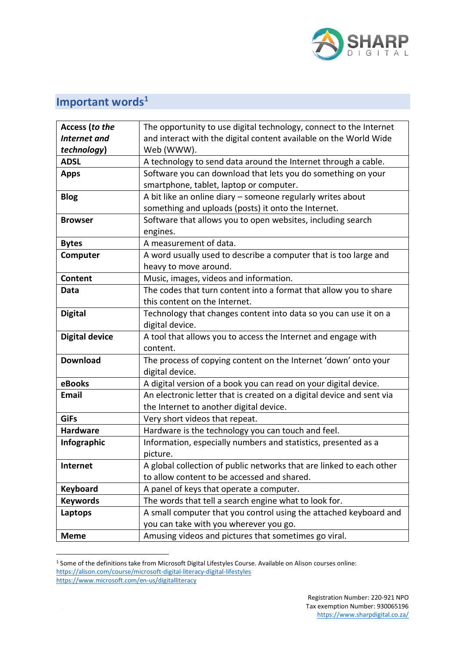

## **Important words<sup>1</sup>**

| Access (to the<br><b>Internet</b> and<br>technology) | The opportunity to use digital technology, connect to the Internet<br>and interact with the digital content available on the World Wide<br>Web (WWW). |
|------------------------------------------------------|-------------------------------------------------------------------------------------------------------------------------------------------------------|
| <b>ADSL</b>                                          | A technology to send data around the Internet through a cable.                                                                                        |
| <b>Apps</b>                                          | Software you can download that lets you do something on your                                                                                          |
|                                                      | smartphone, tablet, laptop or computer.                                                                                                               |
| <b>Blog</b>                                          | A bit like an online diary - someone regularly writes about                                                                                           |
|                                                      | something and uploads (posts) it onto the Internet.                                                                                                   |
| <b>Browser</b>                                       | Software that allows you to open websites, including search                                                                                           |
|                                                      | engines.                                                                                                                                              |
| <b>Bytes</b>                                         | A measurement of data.                                                                                                                                |
| Computer                                             | A word usually used to describe a computer that is too large and                                                                                      |
|                                                      | heavy to move around.                                                                                                                                 |
| <b>Content</b>                                       | Music, images, videos and information.                                                                                                                |
| Data                                                 | The codes that turn content into a format that allow you to share                                                                                     |
|                                                      | this content on the Internet.                                                                                                                         |
| <b>Digital</b>                                       | Technology that changes content into data so you can use it on a                                                                                      |
|                                                      | digital device.                                                                                                                                       |
| <b>Digital device</b>                                | A tool that allows you to access the Internet and engage with                                                                                         |
|                                                      | content.                                                                                                                                              |
| <b>Download</b>                                      | The process of copying content on the Internet 'down' onto your                                                                                       |
|                                                      | digital device.                                                                                                                                       |
| eBooks                                               | A digital version of a book you can read on your digital device.                                                                                      |
| <b>Email</b>                                         | An electronic letter that is created on a digital device and sent via                                                                                 |
|                                                      | the Internet to another digital device.                                                                                                               |
| <b>GiFs</b>                                          | Very short videos that repeat.                                                                                                                        |
| <b>Hardware</b>                                      | Hardware is the technology you can touch and feel.                                                                                                    |
| Infographic                                          | Information, especially numbers and statistics, presented as a                                                                                        |
|                                                      | picture.                                                                                                                                              |
| <b>Internet</b>                                      | A global collection of public networks that are linked to each other                                                                                  |
|                                                      | to allow content to be accessed and shared.                                                                                                           |
| <b>Keyboard</b>                                      | A panel of keys that operate a computer.                                                                                                              |
| <b>Keywords</b>                                      | The words that tell a search engine what to look for.                                                                                                 |
| Laptops                                              | A small computer that you control using the attached keyboard and                                                                                     |
|                                                      | you can take with you wherever you go.                                                                                                                |
| <b>Meme</b>                                          | Amusing videos and pictures that sometimes go viral.                                                                                                  |

<sup>1</sup> Some of the definitions take from Microsoft Digital Lifestyles Course. Available on Alison courses online: <https://alison.com/course/microsoft-digital-literacy-digital-lifestyles> <https://www.microsoft.com/en-us/digitalliteracy>